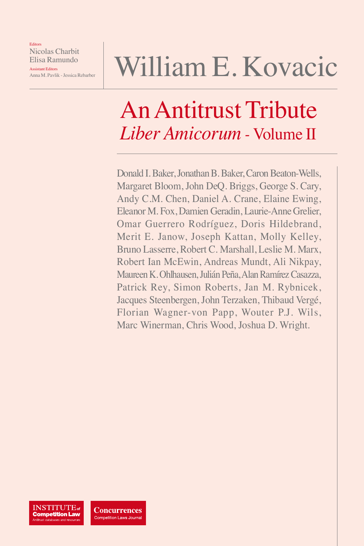Editors Nicolas Charbit Elisa Ramundo

Assistant Editors Anna M. Pavlik - Jessica Rebarber

# William E. Kovacic

## An Antitrust Tribute *Liber Amicorum -* Volume II

Donald I. Baker, Jonathan B. Baker, Caron Beaton-Wells, Margaret Bloom, John DeQ. Briggs, George S. Cary, Andy C.M. Chen, Daniel A. Crane, Elaine Ewing, Eleanor M. Fox, Damien Geradin, Laurie-Anne Grelier, Omar Guerrero Rodríguez, Doris Hildebrand, Merit E. Janow, Joseph Kattan, Molly Kelley, Bruno Lasserre, Robert C. Marshall, Leslie M. Marx, Robert Ian McEwin, Andreas Mundt, Ali Nikpay, Maureen K. Ohlhausen, Julián Peña, Alan Ramírez Casazza, Patrick Rey, Simon Roberts, Jan M. Rybnicek, Jacques Steenbergen, John Terzaken, Thibaud Vergé, Florian Wagner-von Papp, Wouter P.J. Wils, Marc Winerman, Chris Wood, Joshua D. Wright.

**INSTITUTE** of **Competition Law** 

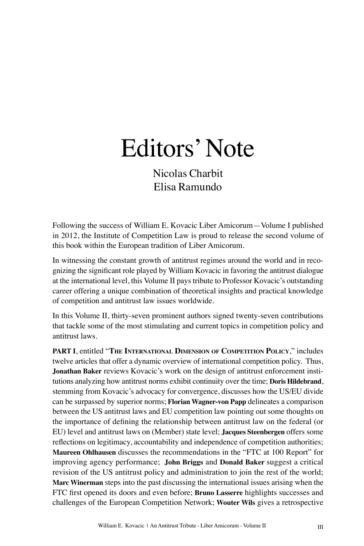## Editors' Note

Nicolas Charbit Elisa Ramundo

Following the success of William E. Kovacic Liber Amicorum—Volume I published in 2012, the Institute of Competition Law is proud to release the second volume of this book within the European tradition of Liber Amicorum.

In witnessing the constant growth of antitrust regimes around the world and in recognizing the significant role played by William Kovacic in favoring the antitrust dialogue at the international level, this Volume II pays tribute to Professor Kovacic's outstanding career offering a unique combination of theoretical insights and practical knowledge of competition and antitrust law issues worldwide.

In this Volume II, thirty-seven prominent authors signed twenty-seven contributions that tackle some of the most stimulating and current topics in competition policy and antitrust laws.

**PART I**, entitled "**The International Dimension of Competition Policy**," includes twelve articles that offer a dynamic overview of international competition policy. Thus, **Jonathan Baker** reviews Kovacic's work on the design of antitrust enforcement institutions analyzing how antitrust norms exhibit continuity over the time; **Doris Hildebrand**, stemming from Kovacic's advocacy for convergence, discusses how the US/EU divide can be surpassed by superior norms; **Florian Wagner-von Papp** delineates a comparison between the US antitrust laws and EU competition law pointing out some thoughts on the importance of defining the relationship between antitrust law on the federal (or EU) level and antitrust laws on (Member) state level; **Jacques Steenbergen** offers some reflections on legitimacy, accountability and independence of competition authorities; **Maureen Ohlhausen** discusses the recommendations in the "FTC at 100 Report" for improving agency performance; **John Briggs** and **Donald Baker** suggest a critical revision of the US antitrust policy and administration to join the rest of the world; **Marc Winerman** steps into the past discussing the international issues arising when the FTC first opened its doors and even before; **Bruno Lasserre** highlights successes and challenges of the European Competition Network; **Wouter Wils** gives a retrospective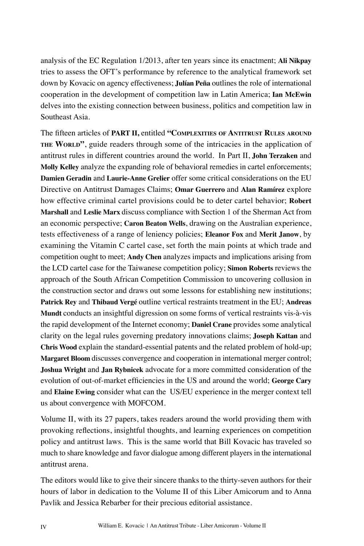analysis of the EC Regulation 1/2013, after ten years since its enactment; **Ali Nikpay**  tries to assess the OFT's performance by reference to the analytical framework set down by Kovacic on agency effectiveness; **Julían Peña** outlines the role of international cooperation in the development of competition law in Latin America; **Ian McEwin** delves into the existing connection between business, politics and competition law in Southeast Asia.

The fifteen articles of **PART II,** entitled **"Complexities of Antitrust Rules around** THE WORLD<sup>"</sup>, guide readers through some of the intricacies in the application of antitrust rules in different countries around the world. In Part II, **John Terzaken** and **Molly Kelley** analyze the expanding role of behavioral remedies in cartel enforcements; **Damien Geradin** and **Laurie-Anne Grelier** offer some critical considerations on the EU Directive on Antitrust Damages Claims; **Omar Guerrero** and **Alan Ramírez** explore how effective criminal cartel provisions could be to deter cartel behavior; **Robert Marshall** and **Leslie Marx** discuss compliance with Section 1 of the Sherman Act from an economic perspective; **Caron Beaton Wells**, drawing on the Australian experience, tests effectiveness of a range of leniency policies; **Eleanor Fox** and **Merit Janow**, by examining the Vitamin C cartel case, set forth the main points at which trade and competition ought to meet; **Andy Chen** analyzes impacts and implications arising from the LCD cartel case for the Taiwanese competition policy; **Simon Roberts** reviews the approach of the South African Competition Commission to uncovering collusion in the construction sector and draws out some lessons for establishing new institutions; **Patrick Rey** and **Thibaud Vergé** outline vertical restraints treatment in the EU; **Andreas Mundt** conducts an insightful digression on some forms of vertical restraints vis-à-vis the rapid development of the Internet economy; **Daniel Crane** provides some analytical clarity on the legal rules governing predatory innovations claims; **Joseph Kattan** and **Chris Wood** explain the standard-essential patents and the related problem of hold-up; **Margaret Bloom** discusses convergence and cooperation in international merger control; **Joshua Wright** and **Jan Rybnicek** advocate for a more committed consideration of the evolution of out-of-market efficiencies in the US and around the world; **George Cary** and **Elaine Ewing** consider what can the US/EU experience in the merger context tell us about convergence with MOFCOM.

Volume II, with its 27 papers, takes readers around the world providing them with provoking reflections, insightful thoughts, and learning experiences on competition policy and antitrust laws. This is the same world that Bill Kovacic has traveled so much to share knowledge and favor dialogue among different players in the international antitrust arena.

The editors would like to give their sincere thanks to the thirty-seven authors for their hours of labor in dedication to the Volume II of this Liber Amicorum and to Anna Pavlik and Jessica Rebarber for their precious editorial assistance.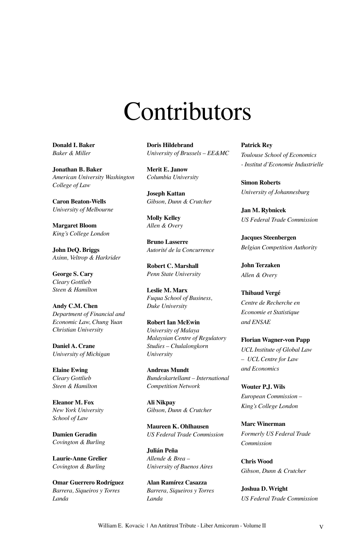## Contributors

**Donald I. Baker** *Baker & Miller*

**Jonathan B. Baker** *American University Washington College of Law*

**Caron Beaton-Wells** *University of Melbourne*

**Margaret Bloom** *King's College London*

**John DeQ. Briggs** *Axinn, Veltrop & Harkrider*

**George S. Cary** *Cleary Gottlieb Steen & Hamilton*

**Andy C.M. Chen** *Department of Financial and Economic Law, Chung Yuan Christian University*

**Daniel A. Crane** *University of Michigan*

**Elaine Ewing** *Cleary Gottlieb Steen & Hamilton*

**Eleanor M. Fox** *New York University School of Law*

**Damien Geradin** *Covington & Burling*

**Laurie-Anne Grelier** *Covington & Burling*

**Omar Guerrero Rodríguez** *Barrera, Siqueiros y Torres Landa*

**Doris Hildebrand** *University of Brussels – EE&MC*

**Merit E. Janow** *Columbia University*

**Joseph Kattan** *Gibson, Dunn & Crutcher*

**Molly Kelley** *Allen & Overy*

**Bruno Lasserre** *Autorité de la Concurrence*

**Robert C. Marshall** *Penn State University*

**Leslie M. Marx** *Fuqua School of Business, Duke University*

**Robert Ian McEwin** *University of Malaya Malaysian Centre of Regulatory Studies – Chulalongkorn University*

**Andreas Mundt** *Bundeskartellamt – International Competition Network*

**Ali Nikpay** *Gibson, Dunn & Crutcher*

**Maureen K. Ohlhausen** *US Federal Trade Commission*

**Julián Peña** *Allende & Brea – University of Buenos Aires*

**Alan Ramírez Casazza** *Barrera, Siqueiros y Torres Landa*

**Patrick Rey** *Toulouse School of Economics - Institut d'Economie Industrielle*

**Simon Roberts** *University of Johannesburg*

**Jan M. Rybnicek** *US Federal Trade Commission*

**Jacques Steenbergen** *Belgian Competition Authority*

**John Terzaken** *Allen & Overy*

**Thibaud Vergé** *Centre de Recherche en Economie et Statistique and ENSAE*

**Florian Wagner-von Papp** *UCL Institute of Global Law – UCL Centre for Law and Economics*

**Wouter P.J. Wils** *European Commission – King's College London*

**Marc Winerman** *Formerly US Federal Trade Commission*

**Chris Wood** *Gibson, Dunn & Crutcher*

**Joshua D. Wright** *US Federal Trade Commission*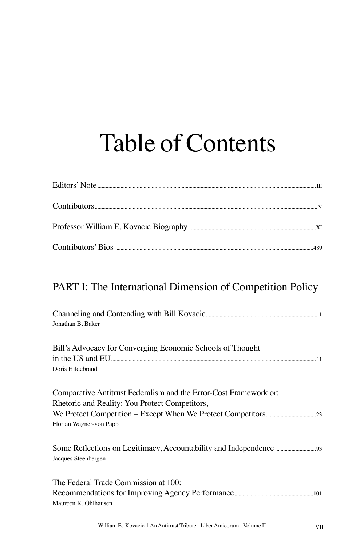## Table of Contents

### PART I: The International Dimension of Competition Policy

| Jonathan B. Baker                                                                                                   |
|---------------------------------------------------------------------------------------------------------------------|
| Bill's Advocacy for Converging Economic Schools of Thought<br>Doris Hildebrand                                      |
| Comparative Antitrust Federalism and the Error-Cost Framework or:<br>Rhetoric and Reality: You Protect Competitors, |
| Florian Wagner-von Papp                                                                                             |
| Jacques Steenbergen                                                                                                 |
| The Federal Trade Commission at 100:<br>Maureen K. Ohlhausen                                                        |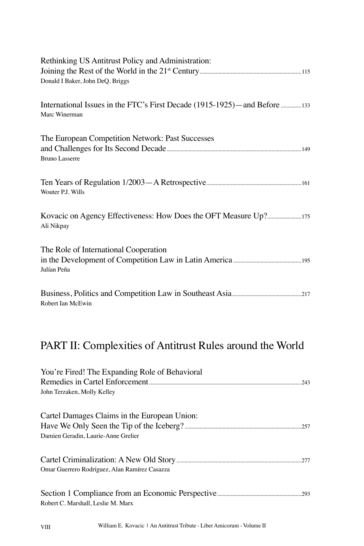| Rethinking US Antitrust Policy and Administration:                                     |
|----------------------------------------------------------------------------------------|
| Donald I Baker, John DeQ. Briggs                                                       |
| International Issues in the FTC's First Decade (1915-1925)—and Before<br>Marc Winerman |
| The European Competition Network: Past Successes<br><b>Bruno Lasserre</b>              |
| Wouter P.J. Wills                                                                      |
| Ali Nikpay                                                                             |
| The Role of International Cooperation<br>Julían Peña                                   |
| Robert Ian McEwin                                                                      |
| PART II: Complexities of Antitrust Rules around the World                              |
| You're Fired! The Expanding Role of Behavioral<br>John Terzaken, Molly Kelley          |
| Cartel Damages Claims in the European Union:<br>Damien Geradin, Laurie-Anne Grelier    |
| Omar Guerrero Rodríguez, Alan Ramírez Casazza                                          |
| Robert C. Marshall, Leslie M. Marx                                                     |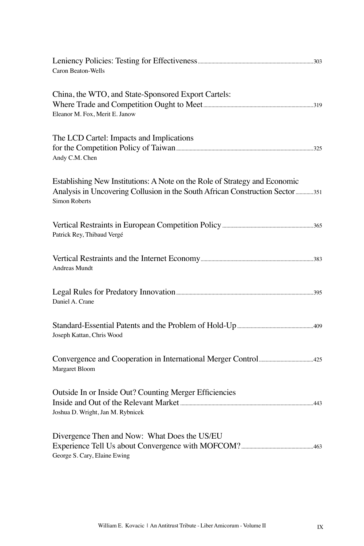| Caron Beaton-Wells                                                                                                                                                                  |  |
|-------------------------------------------------------------------------------------------------------------------------------------------------------------------------------------|--|
| China, the WTO, and State-Sponsored Export Cartels:<br>Eleanor M. Fox, Merit E. Janow                                                                                               |  |
| The LCD Cartel: Impacts and Implications<br>Andy C.M. Chen                                                                                                                          |  |
| Establishing New Institutions: A Note on the Role of Strategy and Economic<br>Analysis in Uncovering Collusion in the South African Construction Sector 351<br><b>Simon Roberts</b> |  |
| Patrick Rey, Thibaud Vergé                                                                                                                                                          |  |
| Andreas Mundt                                                                                                                                                                       |  |
| Daniel A. Crane                                                                                                                                                                     |  |
| Joseph Kattan, Chris Wood                                                                                                                                                           |  |
| Margaret Bloom                                                                                                                                                                      |  |
| Outside In or Inside Out? Counting Merger Efficiencies<br>Joshua D. Wright, Jan M. Rybnicek                                                                                         |  |
| Divergence Then and Now: What Does the US/EU<br>George S. Cary, Elaine Ewing                                                                                                        |  |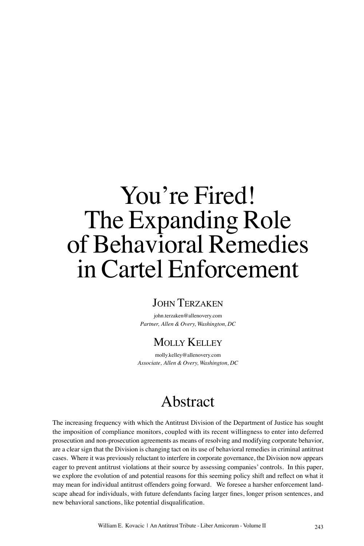### **JOHN TERZAKEN**

john.terzaken@allenovery.com *Partner, Allen & Overy, Washington, DC*

### Molly Kelley

molly.kelley@allenovery.com *Associate, Allen & Overy, Washington, DC*

### Abstract

The increasing frequency with which the Antitrust Division of the Department of Justice has sought the imposition of compliance monitors, coupled with its recent willingness to enter into deferred prosecution and non-prosecution agreements as means of resolving and modifying corporate behavior, are a clear sign that the Division is changing tact on its use of behavioral remedies in criminal antitrust cases. Where it was previously reluctant to interfere in corporate governance, the Division now appears eager to prevent antitrust violations at their source by assessing companies' controls. In this paper, we explore the evolution of and potential reasons for this seeming policy shift and reflect on what it may mean for individual antitrust offenders going forward. We foresee a harsher enforcement landscape ahead for individuals, with future defendants facing larger fines, longer prison sentences, and new behavioral sanctions, like potential disqualification.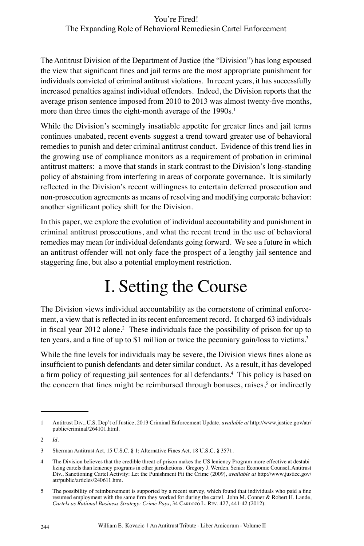The Antitrust Division of the Department of Justice (the "Division") has long espoused the view that significant fines and jail terms are the most appropriate punishment for individuals convicted of criminal antitrust violations. In recent years, it has successfully increased penalties against individual offenders. Indeed, the Division reports that the average prison sentence imposed from 2010 to 2013 was almost twenty-five months, more than three times the eight-month average of the 1990s.<sup>1</sup>

While the Division's seemingly insatiable appetite for greater fines and jail terms continues unabated, recent events suggest a trend toward greater use of behavioral remedies to punish and deter criminal antitrust conduct. Evidence of this trend lies in the growing use of compliance monitors as a requirement of probation in criminal antitrust matters: a move that stands in stark contrast to the Division's long-standing policy of abstaining from interfering in areas of corporate governance. It is similarly reflected in the Division's recent willingness to entertain deferred prosecution and non-prosecution agreements as means of resolving and modifying corporate behavior: another significant policy shift for the Division.

In this paper, we explore the evolution of individual accountability and punishment in criminal antitrust prosecutions, and what the recent trend in the use of behavioral remedies may mean for individual defendants going forward. We see a future in which an antitrust offender will not only face the prospect of a lengthy jail sentence and staggering fine, but also a potential employment restriction.

### I. Setting the Course

The Division views individual accountability as the cornerstone of criminal enforcement, a view that is reflected in its recent enforcement record. It charged 63 individuals in fiscal year 2012 alone.<sup>2</sup> These individuals face the possibility of prison for up to ten years, and a fine of up to \$1 million or twice the pecuniary gain/loss to victims.<sup>3</sup>

While the fine levels for individuals may be severe, the Division views fines alone as insufficient to punish defendants and deter similar conduct. As a result, it has developed a firm policy of requesting jail sentences for all defendants.<sup>4</sup> This policy is based on the concern that fines might be reimbursed through bonuses, raises,<sup>5</sup> or indirectly

<sup>1</sup> Antitrust Div., U.S. Dep't of Justice, 2013 Criminal Enforcement Update, *available at* http://www.justice.gov/atr/ public/criminal/264101.html.

<sup>2</sup> *Id*.

<sup>3</sup> Sherman Antitrust Act, 15 U.S.C. § 1; Alternative Fines Act, 18 U.S.C. § 3571.

<sup>4</sup> The Division believes that the credible threat of prison makes the US leniency Program more effective at destabilizing cartels than leniency programs in other jurisdictions. Gregory J. Werden, Senior Economic Counsel, Antitrust Div., Sanctioning Cartel Activity: Let the Punishment Fit the Crime (2009), *available at* http://www.justice.gov/ atr/public/articles/240611.htm.

<sup>5</sup> The possibility of reimbursement is supported by a recent survey, which found that individuals who paid a fine resumed employment with the same firm they worked for during the cartel. John M. Conner & Robert H. Lande, Cartels as Rational Business Strategy: Crime Pays, 34 CARDOZO L. REV. 427, 441-42 (2012).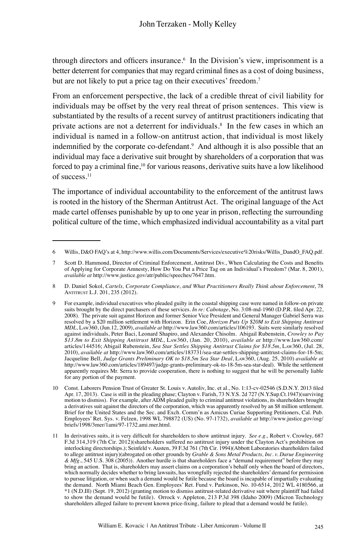through directors and officers insurance.<sup>6</sup> In the Division's view, imprisonment is a better deterrent for companies that may regard criminal fines as a cost of doing business, but are not likely to put a price tag on their executives' freedom.<sup>7</sup>

From an enforcement perspective, the lack of a credible threat of civil liability for individuals may be offset by the very real threat of prison sentences. This view is substantiated by the results of a recent survey of antitrust practitioners indicating that private actions are not a deterrent for individuals.<sup>8</sup> In the few cases in which an individual is named in a follow-on antitrust action, that individual is most likely indemnified by the corporate co-defendant.<sup>9</sup> And although it is also possible that an individual may face a derivative suit brought by shareholders of a corporation that was forced to pay a criminal fine, $10$  for various reasons, derivative suits have a low likelihood of success.<sup>11</sup>

The importance of individual accountability to the enforcement of the antitrust laws is rooted in the history of the Sherman Antitrust Act. The original language of the Act made cartel offenses punishable by up to one year in prison, reflecting the surrounding political culture of the time, which emphasized individual accountability as a vital part

<sup>6</sup> Willis, D&O FAQ's at 4, http://www.willis.com/Documents/Services/executive%20risks/Willis\_DandO\_FAQ.pdf.

<sup>7</sup> Scott D. Hammond, Director of Criminal Enforcement, Antitrust Div., When Calculating the Costs and Benefits of Applying for Corporate Amnesty, How Do You Put a Price Tag on an Individual's Freedom? (Mar. 8, 2001), *available at* http://www.justice.gov/atr/public/speeches/7647.htm.

<sup>8</sup> D. Daniel Sokol, *Cartels, Corporate Compliance, and What Practitioners Really Think about Enforcement*, 78 Antitrust L.J. 201, 235 (2012).

<sup>9</sup> For example, individual executives who pleaded guilty in the coastal shipping case were named in follow-on private suits brought by the direct purchasers of these services. *In re: Cabotage*, No. 3:08-md-1960 (D.P.R. filed Apr. 22, 2008). The private suit against Horizon and former Senior Vice President and General Manager Gabriel Serra was resolved by a \$20 million settlement with Horizon. Erin Coe, *Horizon Puts Up \$20M to Exit Shipping Antitrust MDL*, Law360, (Jun.12, 2009), *available at* http://www.law360.com/articles/106193. Suits were similarly resolved against individuals, Peter Baci, Leonard Shapiro, and Alexander Chisolm. Abigail Rubenstein, *Crowley to Pay \$13.8m to Exit Shipping Antitrust MDL*, Law360, (Jan. 20, 2010), *available at* http://www.law360.com/ articles/144516; Abigail Rubenstein, *Sea Star Settles Shipping Antitrust Claims for \$18.5m*, Law360, (Jul. 28, 2010), *available at* http://www.law360.com/articles/183731/sea-star-settles-shipping-antitrust-claims-for-18-5m; Jacqueline Bell, *Judge Grants Preliminary OK to \$18.5m Sea Star Deal*, Law360, (Aug. 25, 2010) *available at* http://www.law360.com/articles/189497/judge-grants-preliminary-ok-to-18-5m-sea-star-deal). While the settlement apparently requires Mr. Serra to provide cooperation, there is nothing to suggest that he will be personally liable for any portion of the payment.

<sup>10</sup> Const. Laborers Pension Trust of Greater St. Louis v. Autoliv, Inc. et al., No. 1:13-cv-02546 (S.D.N.Y. 2013 filed Apr. 17, 2013). Case is still in the pleading phase; Clayton v. Farish, 73 N.Y.S. 2d 727 (N.Y.Sup.Ct.1947)(surviving motion to dismiss). For example, after ADM pleaded guilty to criminal antitrust violations, its shareholders brought a derivatives suit against the directors of the corporation, which was apparently resolved by an \$8 million settlement. Brief for the United States and the Sec. and Exch. Comm'n as Amicus Curiae Supporting Petitioners, Cal. Pub. Employees' Ret. Sys. v. Felzen, 1998 WL 798872 (US) (No. 97-1732), *available at* http://www.justice.gov/osg/ briefs/1998/3mer/1ami/97-1732.ami.mer.html.

<sup>11</sup> In derivatives suits, it is very difficult for shareholders to show antitrust injury. *See e.g.,* Robert v. Crowley, 687 F.3d 314,319 (7th Cir. 2012)(shareholders suffered no antitrust injury under the Clayton Act's prohibition on interlocking directorships.); Seinfeld v. Austen, 39 F.3d 761 (7th Cir. 1994)(Abbott Laboratories shareholders failed to allege antitrust injury)(abrogated on other grounds by *Grable & Sons Metal Products, Inc. v. Darue Engineering & Mfg*., 545 U.S. 308 (2005)). Another hurdle is that shareholders face a "demand requirement" before they may bring an action. That is, shareholders may assert claims on a corporation's behalf only when the board of directors, which normally decides whether to bring lawsuits, has wrongfully rejected the shareholders' demand for permission to pursue litigation, or when such a demand would be futile because the board is incapable of impartially evaluating the demand. North Miami Beach Gen. Employees' Ret. Fund v. Parkinson, No. 10-6514, 2012 WL 4180566, at \*1 (N.D.Ill) (Sept. 19, 2012) (granting motion to dismiss antitrust-related derivative suit where plaintiff had failed to show the demand would be futile). Orrock v. Appleton, 213 P.3d 398 (Idaho 2009) (Micron Technology shareholders alleged failure to prevent known price-fixing, failure to plead that a demand would be futile).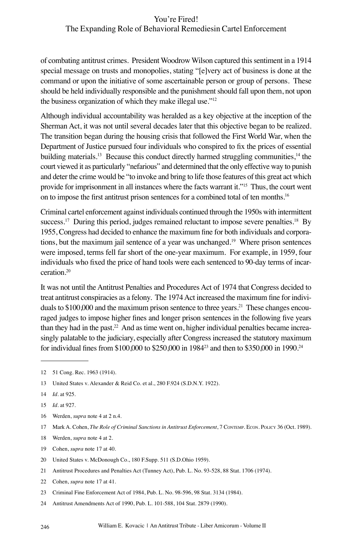of combating antitrust crimes. President Woodrow Wilson captured this sentiment in a 1914 special message on trusts and monopolies, stating "[e]very act of business is done at the command or upon the initiative of some ascertainable person or group of persons. These should be held individually responsible and the punishment should fall upon them, not upon the business organization of which they make illegal use."<sup>12</sup>

Although individual accountability was heralded as a key objective at the inception of the Sherman Act, it was not until several decades later that this objective began to be realized. The transition began during the housing crisis that followed the First World War, when the Department of Justice pursued four individuals who conspired to fix the prices of essential building materials.<sup>13</sup> Because this conduct directly harmed struggling communities, $14$  the court viewed it as particularly "nefarious" and determined that the only effective way to punish and deter the crime would be "to invoke and bring to life those features of this great act which provide for imprisonment in all instances where the facts warrant it."<sup>15</sup> Thus, the court went on to impose the first antitrust prison sentences for a combined total of ten months.<sup>16</sup>

Criminal cartel enforcement against individuals continued through the 1950s with intermittent success.<sup>17</sup> During this period, judges remained reluctant to impose severe penalties.<sup>18</sup> By 1955, Congress had decided to enhance the maximum fine for both individuals and corporations, but the maximum jail sentence of a year was unchanged.<sup>19</sup> Where prison sentences were imposed, terms fell far short of the one-year maximum. For example, in 1959, four individuals who fixed the price of hand tools were each sentenced to 90-day terms of incarceration<sup>20</sup>

It was not until the Antitrust Penalties and Procedures Act of 1974 that Congress decided to treat antitrust conspiracies as a felony. The 1974 Act increased the maximum fine for individuals to  $$100,000$  and the maximum prison sentence to three years.<sup>21</sup> These changes encouraged judges to impose higher fines and longer prison sentences in the following five years than they had in the past.<sup>22</sup> And as time went on, higher individual penalties became increasingly palatable to the judiciary, especially after Congress increased the statutory maximum for individual fines from \$100,000 to \$250,000 in 1984<sup>23</sup> and then to \$350,000 in 1990.<sup>24</sup>

16 Werden, *supra* note 4 at 2 n.4.

- 18 Werden, *supra* note 4 at 2.
- 19 Cohen, *supra* note 17 at 40.
- 20 United States v. McDonough Co., 180 F.Supp. 511 (S.D.Ohio 1959).
- 21 Antitrust Procedures and Penalties Act (Tunney Act), Pub. L. No. 93-528, 88 Stat. 1706 (1974).
- 22 Cohen, *supra* note 17 at 41.

24 Antitrust Amendments Act of 1990, Pub. L. 101-588, 104 Stat. 2879 (1990).

<sup>12</sup> 51 Cong. Rec. 1963 (1914).

<sup>13</sup> United States v. Alexander & Reid Co. et al., 280 F.924 (S.D.N.Y. 1922).

<sup>14</sup> *Id*. at 925.

<sup>15</sup> *Id*. at 927.

<sup>17</sup> Mark A. Cohen, *The Role of Criminal Sanctions in Antitrust Enforcement*, 7 Contemp. Econ. Policy 36 (Oct. 1989).

<sup>23</sup> Criminal Fine Enforcement Act of 1984, Pub. L. No. 98-596, 98 Stat. 3134 (1984).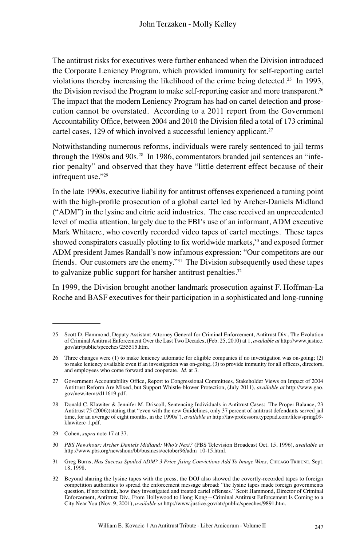The antitrust risks for executives were further enhanced when the Division introduced the Corporate Leniency Program, which provided immunity for self-reporting cartel violations thereby increasing the likelihood of the crime being detected.<sup>25</sup> In 1993, the Division revised the Program to make self-reporting easier and more transparent.<sup>26</sup> The impact that the modern Leniency Program has had on cartel detection and prosecution cannot be overstated. According to a 2011 report from the Government Accountability Office, between 2004 and 2010 the Division filed a total of 173 criminal cartel cases, 129 of which involved a successful leniency applicant.<sup>27</sup>

Notwithstanding numerous reforms, individuals were rarely sentenced to jail terms through the 1980s and 90s.<sup>28</sup> In 1986, commentators branded jail sentences an "inferior penalty" and observed that they have "little deterrent effect because of their infrequent use."<sup>29</sup>

In the late 1990s, executive liability for antitrust offenses experienced a turning point with the high-profile prosecution of a global cartel led by Archer-Daniels Midland ("ADM") in the lysine and citric acid industries. The case received an unprecedented level of media attention, largely due to the FBI's use of an informant, ADM executive Mark Whitacre, who covertly recorded video tapes of cartel meetings. These tapes showed conspirators casually plotting to fix worldwide markets,<sup>30</sup> and exposed former ADM president James Randall's now infamous expression: "Our competitors are our friends. Our customers are the enemy."<sup>31</sup> The Division subsequently used these tapes to galvanize public support for harsher antitrust penalties. $32$ 

In 1999, the Division brought another landmark prosecution against F. Hoffman-La Roche and BASF executives for their participation in a sophisticated and long-running

<sup>25</sup> Scott D. Hammond, Deputy Assistant Attorney General for Criminal Enforcement, Antitrust Div., The Evolution of Criminal Antitrust Enforcement Over the Last Two Decades, (Feb. 25, 2010) at 1, *available at* http://www.justice. gov/atr/public/speeches/255515.htm.

<sup>26</sup> Three changes were (1) to make leniency automatic for eligible companies if no investigation was on-going; (2) to make leniency available even if an investigation was on-going, (3) to provide immunity for all officers, directors, and employees who come forward and cooperate. *Id*. at 3.

<sup>27</sup> Government Accountability Office, Report to Congressional Committees, Stakeholder Views on Impact of 2004 Antitrust Reform Are Mixed, but Support Whistle-blower Protection, (July 2011), *available at* http://www.gao. gov/new.items/d11619.pdf.

<sup>28</sup> Donald C. Klawiter & Jennifer M. Driscoll, Sentencing Individuals in Antitrust Cases: The Proper Balance, 23 Antitrust 75 (2006)(stating that "even with the new Guidelines, only 37 percent of antitrust defendants served jail time, for an average of eight months, in the 1990s"), *available at* http://lawprofessors.typepad.com/files/spring09 klawiterc-1.pdf.

<sup>29</sup> Cohen, *supra* note 17 at 37.

<sup>30</sup> *PBS Newshour: Archer Daniels Midland: Who's Next?* (PBS Television Broadcast Oct. 15, 1996), *available at* http://www.pbs.org/newshour/bb/business/october96/adm\_10-15.html.

<sup>31</sup> Greg Burns, *Has Success Spoiled ADM? 3 Price-fixing Convictions Add To Image Woes*, Chicago Tribune, Sept. 18, 1998.

<sup>32</sup> Beyond sharing the lysine tapes with the press, the DOJ also showed the covertly-recorded tapes to foreign competition authorities to spread the enforcement message abroad: "the lysine tapes made foreign governments question, if not rethink, how they investigated and treated cartel offenses." Scott Hammond, Director of Criminal Enforcement, Antitrust Div., From Hollywood to Hong Kong—Criminal Antitrust Enforcement Is Coming to a City Near You (Nov. 9, 2001), *available at* http://www.justice.gov/atr/public/speeches/9891.htm.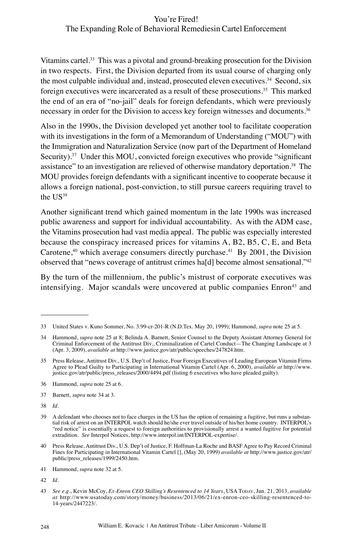Vitamins cartel.<sup>33</sup> This was a pivotal and ground-breaking prosecution for the Division in two respects. First, the Division departed from its usual course of charging only the most culpable individual and, instead, prosecuted eleven executives.<sup>34</sup> Second, six foreign executives were incarcerated as a result of these prosecutions.<sup>35</sup> This marked the end of an era of "no-jail" deals for foreign defendants, which were previously necessary in order for the Division to access key foreign witnesses and documents.<sup>36</sup>

Also in the 1990s, the Division developed yet another tool to facilitate cooperation with its investigations in the form of a Memorandum of Understanding ("MOU") with the Immigration and Naturalization Service (now part of the Department of Homeland Security). $37$  Under this MOU, convicted foreign executives who provide "significant" assistance" to an investigation are relieved of otherwise mandatory deportation.<sup>38</sup> The MOU provides foreign defendants with a significant incentive to cooperate because it allows a foreign national, post-conviction, to still pursue careers requiring travel to the  $US^{39}$ 

Another significant trend which gained momentum in the late 1990s was increased public awareness and support for individual accountability. As with the ADM case, the Vitamins prosecution had vast media appeal. The public was especially interested because the conspiracy increased prices for vitamins A, B2, B5, C, E, and Beta Carotene,<sup>40</sup> which average consumers directly purchase.<sup>41</sup> By 2001, the Division observed that "news coverage of antitrust crimes ha[d] become almost sensational."<sup>42</sup>

By the turn of the millennium, the public's mistrust of corporate executives was intensifying. Major scandals were uncovered at public companies Enron<sup>43</sup> and

- 36 Hammond, *supra* note 25 at 6.
- 37 Barnett, *supra* note 34 at 3.
- 38 *Id*.

<sup>33</sup> United States v. Kuno Sommer, No. 3:99-cr-201-R (N.D.Tex. May 20, 1999); Hammond, *supra* note 25 at 5.

<sup>34</sup> Hammond, *supra* note 25 at 8; Belinda A. Barnett, Senior Counsel to the Deputy Assistant Attorney General for Criminal Enforcement of the Antitrust Div., Criminalization of Cartel Conduct—The Changing Landscape at 3 (Apr. 3, 2009), *available at* http://www.justice.gov/atr/public/speeches/247824.htm.

<sup>35</sup> Press Release, Antitrust Div., U.S. Dep't of Justice, Four Foreign Executives of Leading European Vitamin Firms Agree to Plead Guilty to Participating in International Vitamin Cartel (Apr. 6, 2000), *available at* http://www. justice.gov/atr/public/press\_releases/2000/4494.pdf (listing 6 executives who have pleaded guilty).

<sup>39</sup> A defendant who chooses not to face charges in the US has the option of remaining a fugitive, but runs a substantial risk of arrest on an INTERPOL watch should he/she ever travel outside of his/her home country. INTERPOL's "red notice" is essentially a request to foreign authorities to provisionally arrest a wanted fugitive for potential extradition. *See* Interpol Notices, http://www.interpol.int/INTERPOL-expertise/.

<sup>40</sup> Press Release, Antitrust Div., U.S. Dep't of Justice, F. Hoffman-La Roche and BASF Agree to Pay Record Criminal Fines for Participating in International Vitamin Cartel [], (May 20, 1999) *available at* http://www.justice.gov/atr/ public/press\_releases/1999/2450.htm.

<sup>41</sup> Hammond, *supra* note 32 at 5.

<sup>42</sup> *Id*.

<sup>43</sup> *See e.g*., Kevin McCoy, *Ex-Enron CEO Skilling's Resentenced to 14 Years*, USA Today, Jun. 21, 2013, *available at* http://www.usatoday.com/story/money/business/2013/06/21/ex-enron-ceo-skilling-resentenced-to-14-years/2447223/.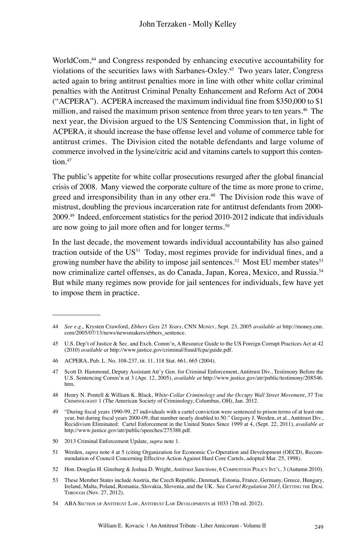WorldCom,<sup>44</sup> and Congress responded by enhancing executive accountability for violations of the securities laws with Sarbanes-Oxley.<sup>45</sup> Two years later, Congress acted again to bring antitrust penalties more in line with other white collar criminal penalties with the Antitrust Criminal Penalty Enhancement and Reform Act of 2004 ("ACPERA"). ACPERA increased the maximum individual fine from \$350,000 to \$1 million, and raised the maximum prison sentence from three years to ten years.<sup>46</sup> The next year, the Division argued to the US Sentencing Commission that, in light of ACPERA, it should increase the base offense level and volume of commerce table for antitrust crimes. The Division cited the notable defendants and large volume of commerce involved in the lysine/citric acid and vitamins cartels to support this contention.<sup>47</sup>

The public's appetite for white collar prosecutions resurged after the global financial crisis of 2008. Many viewed the corporate culture of the time as more prone to crime, greed and irresponsibility than in any other era.<sup>48</sup> The Division rode this wave of mistrust, doubling the previous incarceration rate for antitrust defendants from 2000- 2009.<sup>49</sup> Indeed, enforcement statistics for the period 2010-2012 indicate that individuals are now going to jail more often and for longer terms.<sup>50</sup>

In the last decade, the movement towards individual accountability has also gained traction outside of the  $US<sup>51</sup>$  Today, most regimes provide for individual fines, and a growing number have the ability to impose jail sentences.<sup>52</sup> Most EU member states<sup>53</sup> now criminalize cartel offenses, as do Canada, Japan, Korea, Mexico, and Russia.<sup>54</sup> But while many regimes now provide for jail sentences for individuals, few have yet to impose them in practice.

<sup>44</sup> *See e.g.,* Krysten Crawford, *Ebbers Gets 25 Years*, CNN Money, Sept. 23, 2005 *available at* http://money.cnn. com/2005/07/13/news/newsmakers/ebbers\_sentence.

<sup>45</sup> U.S. Dep't of Justice & Sec. and Exch. Comm'n, A Resource Guide to the US Foreign Corrupt Practices Act at 42 (2010) *available at* http://www.justice.gov/criminal/fraud/fcpa/guide.pdf.

<sup>46</sup> ACPERA, Pub. L. No. 108-237, tit. 11, 118 Stat. 661, 665 (2004).

<sup>47</sup> Scott D. Hammond, Deputy Assistant Att'y Gen. for Criminal Enforcement, Antitrust Div., Testimony Before the U.S. Sentencing Comm'n at 3 (Apr. 12, 2005), *available at* http://www.justice.gov/atr/public/testimony/208546. htm.

<sup>48</sup> Henry N. Pontell & William K. Black, *White-Collar Criminology and the Occupy Wall Street Movement*, 37 The Criminologist 1 (The American Society of Criminology, Columbus, OH), Jan. 2012.

<sup>49</sup> "During fiscal years 1990-99, 27 individuals with a cartel conviction were sentenced to prison terms of at least one year, but during fiscal years 2000-09, that number nearly doubled to 50." Gregory J. Werden, et al., Antitrust Div.,<br>Recidivism Eliminated: Cartel Enforcement in the United States Since 1999 at 4, (Sept. 22, 2011), *availa* http://www.justice.gov/atr/public/speeches/275388.pdf.

<sup>50</sup> 2013 Criminal Enforcement Update, *supra* note 1.

<sup>51</sup> Werden, *supra* note 4 at 5 (citing Organization for Economic Co-Operation and Development (OECD), Recommendation of Council Concerning Effective Action Against Hard Core Cartels, adopted Mar. 25, 1998).

<sup>52</sup> Hon. Douglas H. Ginsburg & Joshua D. Wright, *Antitrust Sanctions*, 6 COMPETITION POLICY INT'L. 3 (Autumn 2010).

<sup>53</sup> These Member States include Austria, the Czech Republic, Denmark, Estonia, France, Germany, Greece, Hungary, Ireland, Malta, Poland, Romania, Slovakia, Slovenia, and the UK. See *Cartel Regulation 2013*, GETTING THE DEAL Through (Nov. 27, 2012).

<sup>54</sup> ABA Section of Antitrust Law, Antitrust Law Developments at 1033 (7th ed. 2012).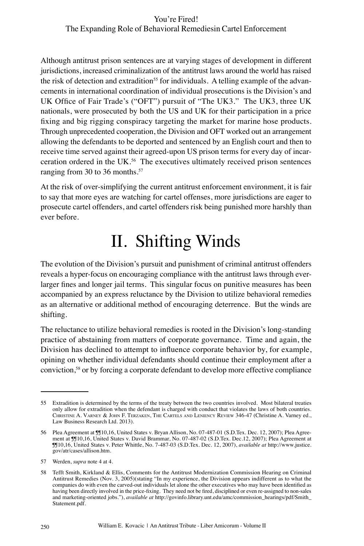Although antitrust prison sentences are at varying stages of development in different jurisdictions, increased criminalization of the antitrust laws around the world has raised the risk of detection and extradition<sup>55</sup> for individuals. A telling example of the advancements in international coordination of individual prosecutions is the Division's and UK Office of Fair Trade's ("OFT") pursuit of "The UK3." The UK3, three UK nationals, were prosecuted by both the US and UK for their participation in a price fixing and big rigging conspiracy targeting the market for marine hose products. Through unprecedented cooperation, the Division and OFT worked out an arrangement allowing the defendants to be deported and sentenced by an English court and then to receive time served against their agreed-upon US prison terms for every day of incarceration ordered in the UK.<sup>56</sup> The executives ultimately received prison sentences ranging from 30 to 36 months.<sup>57</sup>

At the risk of over-simplifying the current antitrust enforcement environment, it is fair to say that more eyes are watching for cartel offenses, more jurisdictions are eager to prosecute cartel offenders, and cartel offenders risk being punished more harshly than ever before.

### II. Shifting Winds

The evolution of the Division's pursuit and punishment of criminal antitrust offenders reveals a hyper-focus on encouraging compliance with the antitrust laws through everlarger fines and longer jail terms. This singular focus on punitive measures has been accompanied by an express reluctance by the Division to utilize behavioral remedies as an alternative or additional method of encouraging deterrence. But the winds are shifting.

The reluctance to utilize behavioral remedies is rooted in the Division's long-standing practice of abstaining from matters of corporate governance. Time and again, the Division has declined to attempt to influence corporate behavior by, for example, opining on whether individual defendants should continue their employment after a conviction,<sup>58</sup> or by forcing a corporate defendant to develop more effective compliance

<sup>55</sup> Extradition is determined by the terms of the treaty between the two countries involved. Most bilateral treaties only allow for extradition when the defendant is charged with conduct that violates the laws of both countries. Christine A. Varney & John F. Terzaken, The Cartels and Leniency Review 346-47 (Christine A. Varney ed., Law Business Research Ltd. 2013).

<sup>56</sup> Plea Agreement at ¶¶10,16, United States v. Bryan Allison, No. 07-487-01 (S.D.Tex. Dec. 12, 2007); Plea Agreement at ¶¶10,16, United States v. David Brammar, No. 07-487-02 (S.D.Tex. Dec.12, 2007); Plea Agreement at ¶¶10,16, United States v. Peter Whittle, No. 7-487-03 (S.D.Tex. Dec. 12, 2007), *available at* http://www.justice. gov/atr/cases/allison.htm.

<sup>57</sup> Werden, *supra* note 4 at 4.

<sup>58</sup> Tefft Smith, Kirkland & Ellis, Comments for the Antitrust Modernization Commission Hearing on Criminal Antitrust Remedies (Nov. 3, 2005)(stating "In my experience, the Division appears indifferent as to what the companies do with even the carved-out individuals let alone the other executives who may have been identified as having been directly involved in the price-fixing. They need not be fired, disciplined or even re-assigned to non-sales and marketing-oriented jobs."), *available at* http://govinfo.library.unt.edu/amc/commission\_hearings/pdf/Smith\_ Statement.pdf.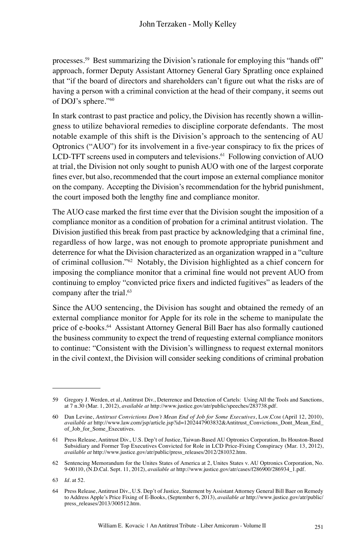processes.<sup>59</sup> Best summarizing the Division's rationale for employing this "hands off" approach, former Deputy Assistant Attorney General Gary Spratling once explained that "if the board of directors and shareholders can't figure out what the risks are of having a person with a criminal conviction at the head of their company, it seems out of DOJ's sphere."<sup>60</sup>

In stark contrast to past practice and policy, the Division has recently shown a willingness to utilize behavioral remedies to discipline corporate defendants. The most notable example of this shift is the Division's approach to the sentencing of AU Optronics ("AUO") for its involvement in a five-year conspiracy to fix the prices of LCD-TFT screens used in computers and televisions. $61$  Following conviction of AUO at trial, the Division not only sought to punish AUO with one of the largest corporate fines ever, but also, recommended that the court impose an external compliance monitor on the company. Accepting the Division's recommendation for the hybrid punishment, the court imposed both the lengthy fine and compliance monitor.

The AUO case marked the first time ever that the Division sought the imposition of a compliance monitor as a condition of probation for a criminal antitrust violation. The Division justified this break from past practice by acknowledging that a criminal fine, regardless of how large, was not enough to promote appropriate punishment and deterrence for what the Division characterized as an organization wrapped in a "culture of criminal collusion."<sup>62</sup> Notably, the Division highlighted as a chief concern for imposing the compliance monitor that a criminal fine would not prevent AUO from continuing to employ "convicted price fixers and indicted fugitives" as leaders of the company after the trial.<sup>63</sup>

Since the AUO sentencing, the Division has sought and obtained the remedy of an external compliance monitor for Apple for its role in the scheme to manipulate the price of e-books.<sup>64</sup> Assistant Attorney General Bill Baer has also formally cautioned the business community to expect the trend of requesting external compliance monitors to continue: "Consistent with the Division's willingness to request external monitors in the civil context, the Division will consider seeking conditions of criminal probation

<sup>59</sup> Gregory J. Werden, et al, Antitrust Div., Deterrence and Detection of Cartels: Using All the Tools and Sanctions, at 7 n.30 (Mar. 1, 2012), *available at* http://www.justice.gov/atr/public/speeches/283738.pdf.

<sup>60</sup> Dan Levine, *Antitrust Convictions Don't Mean End of Job for Some Executives*, Law.Com (April 12, 2010), *available at* http://www.law.com/jsp/article.jsp?id=1202447903832&Antitrust\_Convictions\_Dont\_Mean\_End\_ of\_Job\_for\_Some\_Executives.

<sup>61</sup> Press Release, Antitrust Div., U.S. Dep't of Justice, Taiwan-Based AU Optronics Corporation, Its Houston-Based Subsidiary and Former Top Executives Convicted for Role in LCD Price-Fixing Conspiracy (Mar. 13, 2012), *available at* http://www.justice.gov/atr/public/press\_releases/2012/281032.htm.

<sup>62</sup> Sentencing Memorandum for the Unites States of America at 2, Unites States v. AU Optronics Corporation, No. 9-00110, (N.D.Cal. Sept. 11, 2012), *available at* http://www.justice.gov/atr/cases/f286900/286934\_1.pdf.

<sup>63</sup> *Id.* at 52.

<sup>64</sup> Press Release, Antitrust Div., U.S. Dep't of Justice, Statement by Assistant Attorney General Bill Baer on Remedy to Address Apple's Price Fixing of E-Books, (September 6, 2013), *available at* http://www.justice.gov/atr/public/ press\_releases/2013/300512.htm.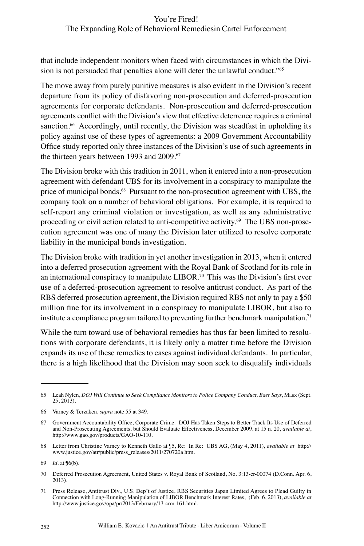#### You're Fired!

### The Expanding Role of Behavioral Remediesin Cartel Enforcement

that include independent monitors when faced with circumstances in which the Division is not persuaded that penalties alone will deter the unlawful conduct."<sup>65</sup>

The move away from purely punitive measures is also evident in the Division's recent departure from its policy of disfavoring non-prosecution and deferred-prosecution agreements for corporate defendants. Non-prosecution and deferred-prosecution agreements conflict with the Division's view that effective deterrence requires a criminal sanction.<sup>66</sup> Accordingly, until recently, the Division was steadfast in upholding its policy against use of these types of agreements: a 2009 Government Accountability Office study reported only three instances of the Division's use of such agreements in the thirteen years between 1993 and 2009.<sup>67</sup>

The Division broke with this tradition in 2011, when it entered into a non-prosecution agreement with defendant UBS for its involvement in a conspiracy to manipulate the price of municipal bonds.<sup>68</sup> Pursuant to the non-prosecution agreement with UBS, the company took on a number of behavioral obligations. For example, it is required to self-report any criminal violation or investigation, as well as any administrative proceeding or civil action related to anti-competitive activity.69 The UBS non-prosecution agreement was one of many the Division later utilized to resolve corporate liability in the municipal bonds investigation.

The Division broke with tradition in yet another investigation in 2013, when it entered into a deferred prosecution agreement with the Royal Bank of Scotland for its role in an international conspiracy to manipulate LIBOR.<sup>70</sup> This was the Division's first ever use of a deferred-prosecution agreement to resolve antitrust conduct. As part of the RBS deferred prosecution agreement, the Division required RBS not only to pay a \$50 million fine for its involvement in a conspiracy to manipulate LIBOR, but also to institute a compliance program tailored to preventing further benchmark manipulation.<sup>71</sup>

While the turn toward use of behavioral remedies has thus far been limited to resolutions with corporate defendants, it is likely only a matter time before the Division expands its use of these remedies to cases against individual defendants. In particular, there is a high likelihood that the Division may soon seek to disqualify individuals

<sup>65</sup> Leah Nylen, *DOJ Will Continue to Seek Compliance Monitors to Police Company Conduct, Baer Says*, Mlex (Sept. 25, 2013).

<sup>66</sup> Varney & Terzaken, *supra* note 55 at 349.

<sup>67</sup> Government Accountability Office, Corporate Crime: DOJ Has Taken Steps to Better Track Its Use of Deferred and Non-Prosecuting Agreements, but Should Evaluate Effectiveness, December 2009, at 15 n. 20, *available at*, http://www.gao.gov/products/GAO-10-110.

<sup>68</sup> Letter from Christine Varney to Kenneth Gallo at ¶5, Re: In Re: UBS AG, (May 4, 2011), *available at* http:// www.justice.gov/atr/public/press\_releases/2011/270720a.htm.

<sup>69</sup> *Id*. at ¶6(b).

<sup>70</sup> Deferred Prosecution Agreement, United States v. Royal Bank of Scotland, No. 3:13-cr-00074 (D.Conn. Apr. 6, 2013).

<sup>71</sup> Press Release, Antitrust Div., U.S. Dep't of Justice, RBS Securities Japan Limited Agrees to Plead Guilty in Connection with Long-Running Manipulation of LIBOR Benchmark Interest Rates, (Feb. 6, 2013), *available at* http://www.justice.gov/opa/pr/2013/February/13-crm-161.html.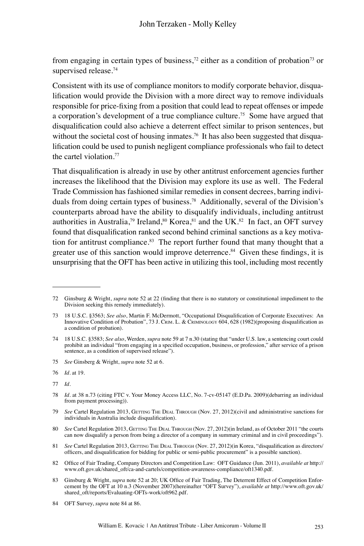from engaging in certain types of business,<sup>72</sup> either as a condition of probation<sup>73</sup> or supervised release.<sup>74</sup>

Consistent with its use of compliance monitors to modify corporate behavior, disqualification would provide the Division with a more direct way to remove individuals responsible for price-fixing from a position that could lead to repeat offenses or impede a corporation's development of a true compliance culture.<sup>75</sup> Some have argued that disqualification could also achieve a deterrent effect similar to prison sentences, but without the societal cost of housing inmates.<sup>76</sup> It has also been suggested that disqualification could be used to punish negligent compliance professionals who fail to detect the cartel violation.<sup>77</sup>

That disqualification is already in use by other antitrust enforcement agencies further increases the likelihood that the Division may explore its use as well. The Federal Trade Commission has fashioned similar remedies in consent decrees, barring individuals from doing certain types of business.<sup>78</sup> Additionally, several of the Division's counterparts abroad have the ability to disqualify individuals, including antitrust authorities in Australia,<sup>79</sup> Ireland,<sup>80</sup> Korea,<sup>81</sup> and the UK.<sup>82</sup> In fact, an OFT survey found that disqualification ranked second behind criminal sanctions as a key motivation for antitrust compliance. $83$  The report further found that many thought that a greater use of this sanction would improve deterrence.<sup>84</sup> Given these findings, it is unsurprising that the OFT has been active in utilizing this tool, including most recently

<sup>72</sup> Ginsburg & Wright, *supra* note 52 at 22 (finding that there is no statutory or constitutional impediment to the Division seeking this remedy immediately).

<sup>73</sup> 18 U.S.C. §3563; *See also*, Martin F. McDermott, "Occupational Disqualification of Corporate Executives: An Innovative Condition of Probation", 73 J. Crim. L. & Criminology 604, 628 (1982)(proposing disqualification as a condition of probation).

<sup>74</sup> 18 U.S.C. §3583; *See also*, Werden, *supra* note 59 at 7 n.30 (stating that "under U.S. law, a sentencing court could prohibit an individual "from engaging in a specified occupation, business, or profession," after service of a prison sentence, as a condition of supervised release").

<sup>75</sup> *See* Ginsberg & Wright, *supra* note 52 at 6.

<sup>76</sup> *Id*. at 19.

<sup>77</sup> *Id.*

<sup>78</sup> *Id*. at 38 n.73 (citing FTC v. Your Money Access LLC, No. 7-cv-05147 (E.D.Pa. 2009)(debarring an individual from payment processing)).

<sup>79</sup> See Cartel Regulation 2013, GETTING THE DEAL THROUGH (Nov. 27, 2012)(civil and administrative sanctions for individuals in Australia include disqualification).

<sup>80</sup> See Cartel Regulation 2013, GETTING THE DEAL THROUGH (Nov. 27, 2012)(in Ireland, as of October 2011 "the courts can now disqualify a person from being a director of a company in summary criminal and in civil proceedings").

<sup>81</sup> *See* Cartel Regulation 2013, GETTING THE DEAL THROUGH (Nov. 27, 2012)(in Korea, "disqualification as directors/ officers, and disqualification for bidding for public or semi-public procurement" is a possible sanction).

<sup>82</sup> Office of Fair Trading, Company Directors and Competition Law: OFT Guidance (Jun. 2011), *available at* http:// www.oft.gov.uk/shared\_oft/ca-and-cartels/competition-awareness-compliance/oft1340.pdf.

<sup>83</sup> Ginsburg & Wright, *supra* note 52 at 20; UK Office of Fair Trading, The Deterrent Effect of Competition Enforcement by the OFT at 10 n.3 (November 2007)(hereinafter "OFT Survey"), *available at* http://www.oft.gov.uk/ shared\_oft/reports/Evaluating-OFTs-work/oft962.pdf.

<sup>84</sup> OFT Survey, *supra* note 84 at 86.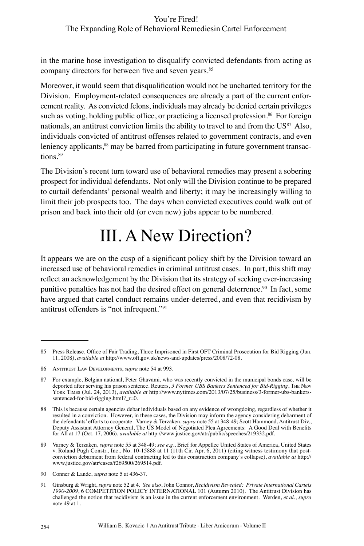#### You're Fired!

#### The Expanding Role of Behavioral Remediesin Cartel Enforcement

in the marine hose investigation to disqualify convicted defendants from acting as company directors for between five and seven years.<sup>85</sup>

Moreover, it would seem that disqualification would not be uncharted territory for the Division. Employment-related consequences are already a part of the current enforcement reality. As convicted felons, individuals may already be denied certain privileges such as voting, holding public office, or practicing a licensed profession.<sup>86</sup> For foreign nationals, an antitrust conviction limits the ability to travel to and from the  $\text{US}^{87}$  Also, individuals convicted of antitrust offenses related to government contracts, and even leniency applicants,<sup>88</sup> may be barred from participating in future government transactions.<sup>89</sup>

The Division's recent turn toward use of behavioral remedies may present a sobering prospect for individual defendants. Not only will the Division continue to be prepared to curtail defendants' personal wealth and liberty; it may be increasingly willing to limit their job prospects too. The days when convicted executives could walk out of prison and back into their old (or even new) jobs appear to be numbered.

### III. A New Direction?

It appears we are on the cusp of a significant policy shift by the Division toward an increased use of behavioral remedies in criminal antitrust cases. In part, this shift may reflect an acknowledgement by the Division that its strategy of seeking ever-increasing punitive penalties has not had the desired effect on general deterrence.<sup>90</sup> In fact, some have argued that cartel conduct remains under-deterred, and even that recidivism by antitrust offenders is "not infrequent."<sup>91</sup>

<sup>85</sup> Press Release, Office of Fair Trading, Three Imprisoned in First OFT Criminal Prosecution for Bid Rigging (Jun. 11, 2008), *available at* http://www.oft.gov.uk/news-and-updates/press/2008/72-08.

<sup>86</sup> Antitrust Law Developments, *supra* note 54 at 993.

<sup>87</sup> For example, Belgian national, Peter Ghavami, who was recently convicted in the municipal bonds case, will be deported after serving his prison sentence. Reuters, *3 Former UBS Bankers Sentenced for Bid-Rigging*, The New York Times (Jul. 24, 2013), *available at* http://www.nytimes.com/2013/07/25/business/3-former-ubs-bankerssentenced-for-bid-rigging.html?\_r=0.

<sup>88</sup> This is because certain agencies debar individuals based on any evidence of wrongdoing, regardless of whether it resulted in a conviction. However, in these cases, the Division may inform the agency considering debarment of the defendants' efforts to cooperate. Varney & Terzaken, *supra* note 55 at 348-49; Scott Hammond, Antitrust Div., Deputy Assistant Attorney General, The US Model of Negotiated Plea Agreements: A Good Deal with Benefits for All at 17 (Oct. 17, 2006), *available at* http://www.justice.gov/atr/public/speeches/219332.pdf.

<sup>89</sup> Varney & Terzaken, *supra* note 55 at 348-49; *see e.g.*, Brief for Appellee United States of America, United States v. Roland Pugh Constr., Inc., No. 10-15888 at 11 (11th Cir. Apr. 6, 2011) (citing witness testimony th conviction debarment from federal contracting led to this construction company's collapse), *available at* http:// www.justice.gov/atr/cases/f269500/269514.pdf.

<sup>90</sup> Conner & Lande, *supra* note 5 at 436-37.

<sup>91</sup> Ginsburg & Wright, *supra* note 52 at 4. *See also*, John Connor, *Recidivism Revealed: Private International Cartels 1990-2009*, 6 COMPETITION POLICY INTERNATIONAL 101 (Autumn 2010). The Antitrust Division has challenged the notion that recidivism is an issue in the current enforcement environment. Werden, *et al*., *supra* note 49 at 1.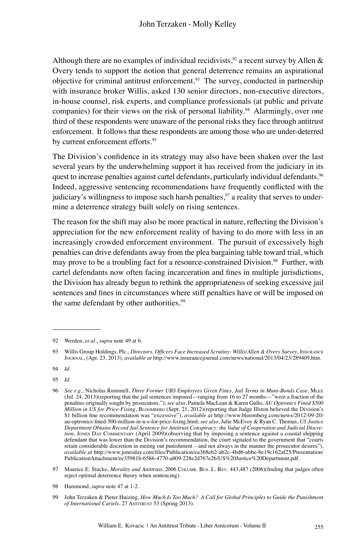Although there are no examples of individual recidivists,<sup>92</sup> a recent survey by Allen & Overy tends to support the notion that general deterrence remains an aspirational objective for criminal antitrust enforcement.<sup>93</sup> The survey, conducted in partnership with insurance broker Willis, asked 130 senior directors, non-executive directors, in-house counsel, risk experts, and compliance professionals (at public and private companies) for their views on the risk of personal liability.<sup>94</sup> Alarmingly, over one third of these respondents were unaware of the personal risks they face through antitrust enforcement. It follows that these respondents are among those who are under-deterred by current enforcement efforts.<sup>95</sup>

The Division's confidence in its strategy may also have been shaken over the last several years by the underwhelming support it has received from the judiciary in its quest to increase penalties against cartel defendants, particularly individual defendants.<sup>96</sup> Indeed, aggressive sentencing recommendations have frequently conflicted with the judiciary's willingness to impose such harsh penalties,<sup>97</sup> a reality that serves to undermine a deterrence strategy built solely on rising sentences.

The reason for the shift may also be more practical in nature, reflecting the Division's appreciation for the new enforcement reality of having to do more with less in an increasingly crowded enforcement environment. The pursuit of excessively high penalties can drive defendants away from the plea bargaining table toward trial, which may prove to be a troubling fact for a resource-constrained Division.<sup>98</sup> Further, with cartel defendants now often facing incarceration and fines in multiple jurisdictions, the Division has already begun to rethink the appropriateness of seeking excessive jail sentences and fines in circumstances where stiff penalties have or will be imposed on the same defendant by other authorities.<sup>99</sup>

<sup>92</sup> Werden, *et al*., *supra* note 49 at 6.

<sup>93</sup> Willis Group Holdings, Plc., *Directors, Officers Face Increased Scrutiny: Willis/Allen & Overy Survey*, Insurance Journal, (Apr. 23, 2013), *available at* http://www.insurancejournal.com/news/national/2013/04/23/289409.htm.

<sup>94</sup> *Id.*

<sup>95</sup> *Id*.

<sup>96</sup> *See e.g.,* Nicholas Rummell, *Three Former UBS Employees Given Fines, Jail Terms in Muni-Bonds Case*, Mlex (Jul. 24, 2013)(reporting that the jail sentences imposed—ranging from 16 to 27 months—"were a fraction of the penalties originally sought by prosecutors."); *see also*, Pamela MacLean & Karen Gullo, *AU Optronics Fined \$500 Million in US for Price-Fixing*, Bloomberg (Sept. 21, 2012)(reporting that Judge Illston believed the Division's \$1 billion fine recommendation was "excessive"), *available at* http://www.bloomberg.com/news/2012-09-20/ au-optronics-fined-500-million-in-u-s-for-price-fixing.html; *see also*, Julie McEvoy & Ryan C. Thomas, *US Justice Department Obtains Record Jail Sentence for Antitrust Conspiracy: the Value of Cooperation and Judicial Discretion*, Jones Day Commentary (April 2009)(observing that by imposing a sentence against a coastal shipping defendant that was lower than the Division's recommendation, the court signaled to the government that "courts retain considerable discretion in meting out punishment – and not always in the manner the prosecutor desires"), *available at* http://www.jonesday.com/files/Publication/ea368eb2-ab2c-4bd6-abbe-8e19c162af25/Presentation/ PublicationAttachment/ee35981b-6586-4770-a809-228e2d767e2b/US%20Justice%20Department.pdf.

<sup>97</sup> Maurice E. Stucke, *Morality and Antitrust*, 2006 COLUMB. Bus. L. REV. 443,487 (2006)(finding that judges often reject optimal deterrence theory when sentencing).

<sup>98</sup> Hammond, *supra* note 47 at 1-2.

<sup>99</sup> John Terzaken & Pieter Huizing, *How Much Is Too Much? A Call for Global Principles to Guide the Punishment*  of International Cartels, 27 ANTITRUST 53 (Spring 2013).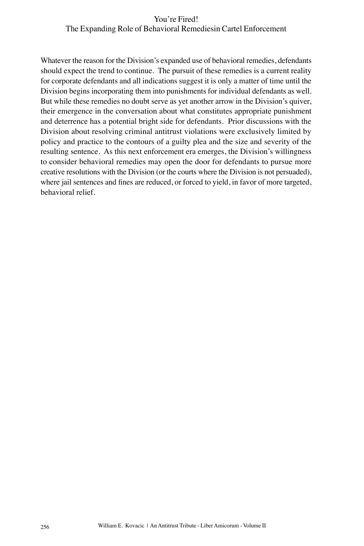Whatever the reason for the Division's expanded use of behavioral remedies, defendants should expect the trend to continue. The pursuit of these remedies is a current reality for corporate defendants and all indications suggest it is only a matter of time until the Division begins incorporating them into punishments for individual defendants as well. But while these remedies no doubt serve as yet another arrow in the Division's quiver, their emergence in the conversation about what constitutes appropriate punishment and deterrence has a potential bright side for defendants. Prior discussions with the Division about resolving criminal antitrust violations were exclusively limited by policy and practice to the contours of a guilty plea and the size and severity of the resulting sentence. As this next enforcement era emerges, the Division's willingness to consider behavioral remedies may open the door for defendants to pursue more creative resolutions with the Division (or the courts where the Division is not persuaded), where jail sentences and fines are reduced, or forced to yield, in favor of more targeted, behavioral relief.